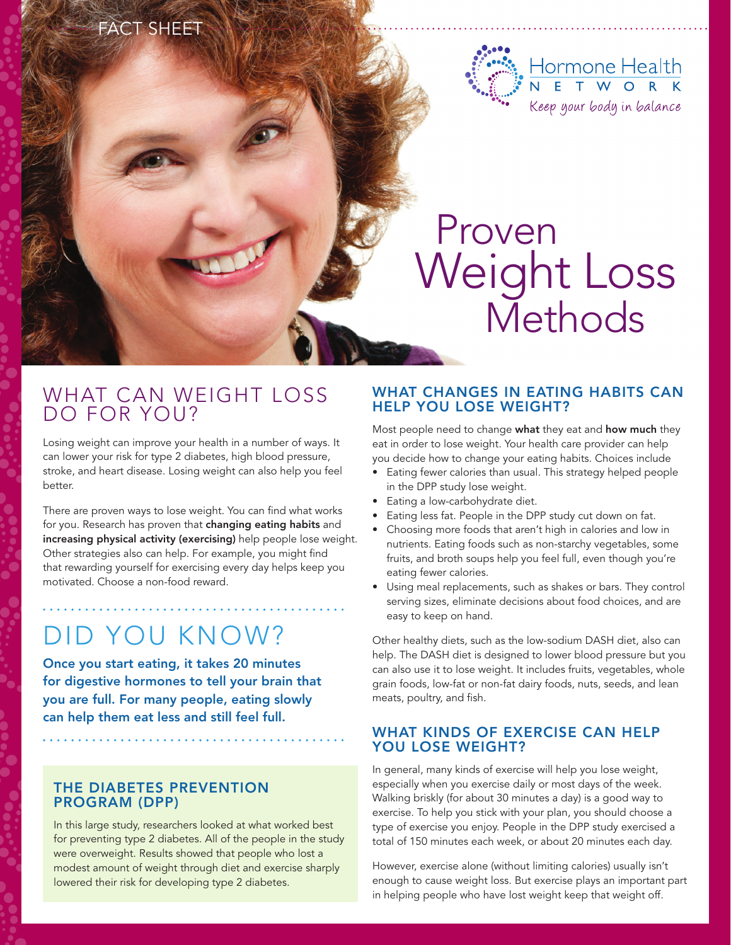### $FAT$ SHEET



# Proven Weight Loss **Methods**

# WHAT CAN WEIGHT LOSS DO FOR YOU?

Losing weight can improve your health in a number of ways. It can lower your risk for type 2 diabetes, high blood pressure, stroke, and heart disease. Losing weight can also help you feel better.

There are proven ways to lose weight. You can find what works for you. Research has proven that changing eating habits and increasing physical activity (exercising) help people lose weight. Other strategies also can help. For example, you might find that rewarding yourself for exercising every day helps keep you motivated. Choose a non-food reward.

# Did you know?

Once you start eating, it takes 20 minutes for digestive hormones to tell your brain that you are full. For many people, eating slowly can help them eat less and still feel full.

#### The Diabetes Prevention Program (DPP)

In this large study, researchers looked at what worked best for preventing type 2 diabetes. All of the people in the study were overweight. Results showed that people who lost a modest amount of weight through diet and exercise sharply lowered their risk for developing type 2 diabetes.

#### WHAT CHANGES IN EATING HABITS CAN help you lose weight?

Most people need to change what they eat and how much they eat in order to lose weight. Your health care provider can help you decide how to change your eating habits. Choices include

- Eating fewer calories than usual. This strategy helped people in the DPP study lose weight.
- Eating a low-carbohydrate diet.
- Eating less fat. People in the DPP study cut down on fat.
- Choosing more foods that aren't high in calories and low in nutrients. Eating foods such as non-starchy vegetables, some fruits, and broth soups help you feel full, even though you're eating fewer calories.
- • Using meal replacements, such as shakes or bars. They control serving sizes, eliminate decisions about food choices, and are easy to keep on hand.

Other healthy diets, such as the low-sodium DASH diet, also can help. The DASH diet is designed to lower blood pressure but you can also use it to lose weight. It includes fruits, vegetables, whole grain foods, low-fat or non-fat dairy foods, nuts, seeds, and lean meats, poultry, and fish.

#### WHAT KINDS OF EXERCISE CAN HELP you lose weight?

In general, many kinds of exercise will help you lose weight, especially when you exercise daily or most days of the week. Walking briskly (for about 30 minutes a day) is a good way to exercise. To help you stick with your plan, you should choose a type of exercise you enjoy. People in the DPP study exercised a total of 150 minutes each week, or about 20 minutes each day.

However, exercise alone (without limiting calories) usually isn't enough to cause weight loss. But exercise plays an important part in helping people who have lost weight keep that weight off.